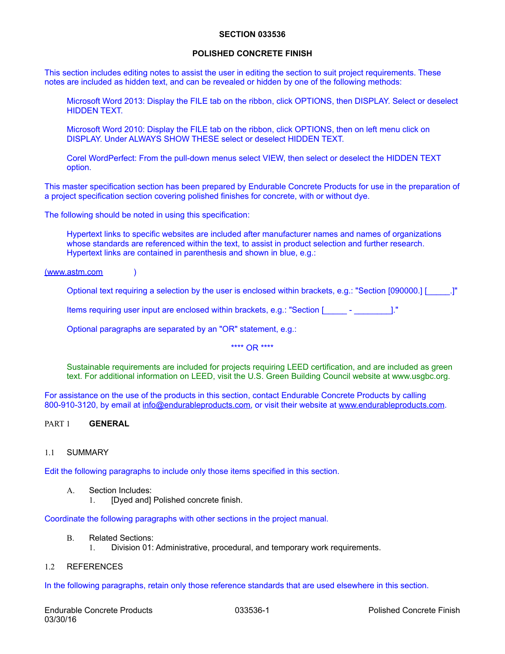#### **SECTION 033536**

### **POLISHED CONCRETE FINISH**

This section includes editing notes to assist the user in editing the section to suit project requirements. These notes are included as hidden text, and can be revealed or hidden by one of the following methods:

Microsoft Word 2013: Display the FILE tab on the ribbon, click OPTIONS, then DISPLAY. Select or deselect HIDDEN TEXT.

Microsoft Word 2010: Display the FILE tab on the ribbon, click OPTIONS, then on left menu click on DISPLAY. Under ALWAYS SHOW THESE select or deselect HIDDEN TEXT.

Corel WordPerfect: From the pull-down menus select VIEW, then select or deselect the HIDDEN TEXT option.

This master specification section has been prepared by Endurable Concrete Products for use in the preparation of a project specification section covering polished finishes for concrete, with or without dye.

The following should be noted in using this specification:

Hypertext links to specific websites are included after manufacturer names and names of organizations whose standards are referenced within the text, to assist in product selection and further research. Hypertext links are contained in parenthesis and shown in blue, e.g.:

[\(www.astm.com](http://www.astm.com) )

Optional text requiring a selection by the user is enclosed within brackets, e.g.: "Section [090000.] [\_\_\_\_\_.]"

Items requiring user input are enclosed within brackets, e.g.: "Section [\_\_\_\_\_ - \_\_\_\_\_\_\_\_]."

Optional paragraphs are separated by an "OR" statement, e.g.:

\*\*\*\* OR \*\*\*\*

Sustainable requirements are included for projects requiring LEED certification, and are included as green text. For additional information on LEED, visit the U.S. Green Building Council website at [www.usgbc.org](http://www.usgbc.org).

For assistance on the use of the products in this section, contact Endurable Concrete Products by calling 800-910-3120, by email at [info@endurableproducts.com,](mailto:info@endurableproducts.com) or visit their website at [www.endurableproducts.com](http://www.endurableproducts.com).

# PART 1 **GENERAL**

#### 1.1 SUMMARY

Edit the following paragraphs to include only those items specified in this section.

- A. Section Includes:
	- 1. [Dyed and] Polished concrete finish.

Coordinate the following paragraphs with other sections in the project manual.

#### B. Related Sections:

1. Division 01: Administrative, procedural, and temporary work requirements.

#### 1.2 REFERENCES

In the following paragraphs, retain only those reference standards that are used elsewhere in this section.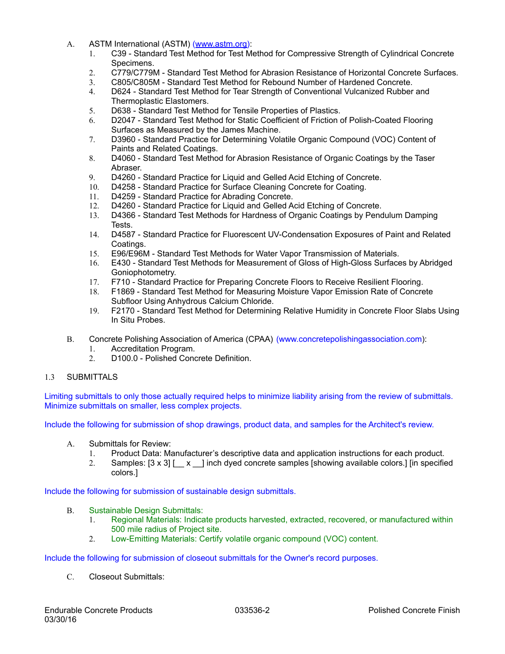- A. ASTM International (ASTM) ([www.astm.org\)](http://www.astm.org):
	- 1. C39 Standard Test Method for Test Method for Compressive Strength of Cylindrical Concrete Specimens.
	- 2. C779/C779M Standard Test Method for Abrasion Resistance of Horizontal Concrete Surfaces.
	- 3. C805/C805M Standard Test Method for Rebound Number of Hardened Concrete.
	- 4. D624 Standard Test Method for Tear Strength of Conventional Vulcanized Rubber and Thermoplastic Elastomers.
	- 5. D638 Standard Test Method for Tensile Properties of Plastics.
	- 6. D2047 Standard Test Method for Static Coefficient of Friction of Polish-Coated Flooring Surfaces as Measured by the James Machine.
	- 7. D3960 Standard Practice for Determining Volatile Organic Compound (VOC) Content of Paints and Related Coatings.
	- 8. D4060 Standard Test Method for Abrasion Resistance of Organic Coatings by the Taser Abraser.
	- 9. D4260 Standard Practice for Liquid and Gelled Acid Etching of Concrete.
	- 10. D4258 Standard Practice for Surface Cleaning Concrete for Coating.
	- 11. D4259 Standard Practice for Abrading Concrete.
	- 12. D4260 Standard Practice for Liquid and Gelled Acid Etching of Concrete.
	- 13. D4366 Standard Test Methods for Hardness of Organic Coatings by Pendulum Damping Tests.
	- 14. D4587 Standard Practice for Fluorescent UV-Condensation Exposures of Paint and Related Coatings.
	- 15. E96/E96M Standard Test Methods for Water Vapor Transmission of Materials.
	- 16. E430 Standard Test Methods for Measurement of Gloss of High-Gloss Surfaces by Abridged Goniophotometry.
	- 17. F710 Standard Practice for Preparing Concrete Floors to Receive Resilient Flooring.
	- 18. F1869 Standard Test Method for Measuring Moisture Vapor Emission Rate of Concrete Subfloor Using Anhydrous Calcium Chloride.
	- 19. F2170 Standard Test Method for Determining Relative Humidity in Concrete Floor Slabs Using In Situ Probes.
- B. Concrete Polishing Association of America (CPAA) [\(www.concretepolishingassociation.com\)](http://www.concretepolishingassociation.com):
	- 1. Accreditation Program.
	- 2. D100.0 Polished Concrete Definition.

### 1.3 SUBMITTALS

Limiting submittals to only those actually required helps to minimize liability arising from the review of submittals. Minimize submittals on smaller, less complex projects.

Include the following for submission of shop drawings, product data, and samples for the Architect's review.

- A. Submittals for Review:
	- 1. Product Data: Manufacturer's descriptive data and application instructions for each product.
	- 2. Samples: [3 x 3] [ \_ x \_ ] inch dyed concrete samples [showing available colors.] [in specified colors.]

Include the following for submission of sustainable design submittals.

- B. Sustainable Design Submittals:
	- 1. Regional Materials: Indicate products harvested, extracted, recovered, or manufactured within 500 mile radius of Project site.
	- 2. Low-Emitting Materials: Certify volatile organic compound (VOC) content.

Include the following for submission of closeout submittals for the Owner's record purposes.

C. Closeout Submittals: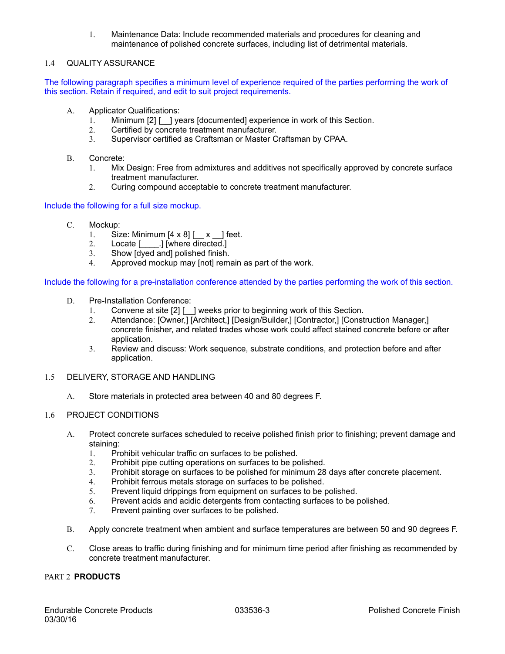1. Maintenance Data: Include recommended materials and procedures for cleaning and maintenance of polished concrete surfaces, including list of detrimental materials.

# 1.4 QUALITY ASSURANCE

The following paragraph specifies a minimum level of experience required of the parties performing the work of this section. Retain if required, and edit to suit project requirements.

- A. Applicator Qualifications:
	- 1. Minimum [2] [1] years [documented] experience in work of this Section.
	- 2. Certified by concrete treatment manufacturer.
	- 3. Supervisor certified as Craftsman or Master Craftsman by CPAA.
- B. Concrete:
	- 1. Mix Design: Free from admixtures and additives not specifically approved by concrete surface treatment manufacturer.
	- 2. Curing compound acceptable to concrete treatment manufacturer.

Include the following for a full size mockup.

- C. Mockup:
	- 1. Size: Minimum  $[4 \times 8]$   $\begin{bmatrix} x \\ y \end{bmatrix}$  feet.
	- 2. Locate [ ] [where directed.]
	- 3. Show [dyed and] polished finish.
	- 4. Approved mockup may [not] remain as part of the work.

Include the following for a pre-installation conference attended by the parties performing the work of this section.

- D. Pre-Installation Conference:
	- 1. Convene at site [2] [ \_ ] weeks prior to beginning work of this Section.
	- 2. Attendance: [Owner,] [Architect,] [Design/Builder,] [Contractor,] [Construction Manager,] concrete finisher, and related trades whose work could affect stained concrete before or after application.
	- 3. Review and discuss: Work sequence, substrate conditions, and protection before and after application.
- 1.5 DELIVERY, STORAGE AND HANDLING
	- A. Store materials in protected area between 40 and 80 degrees F.

### 1.6 PROJECT CONDITIONS

- A. Protect concrete surfaces scheduled to receive polished finish prior to finishing; prevent damage and staining:
	- 1. Prohibit vehicular traffic on surfaces to be polished.
	- 2. Prohibit pipe cutting operations on surfaces to be polished.
	- 3. Prohibit storage on surfaces to be polished for minimum 28 days after concrete placement.
	- 4. Prohibit ferrous metals storage on surfaces to be polished.
	- 5. Prevent liquid drippings from equipment on surfaces to be polished.
	- 6. Prevent acids and acidic detergents from contacting surfaces to be polished.
	- 7. Prevent painting over surfaces to be polished.
- B. Apply concrete treatment when ambient and surface temperatures are between 50 and 90 degrees F.
- C. Close areas to traffic during finishing and for minimum time period after finishing as recommended by concrete treatment manufacturer.

# PART 2 **PRODUCTS**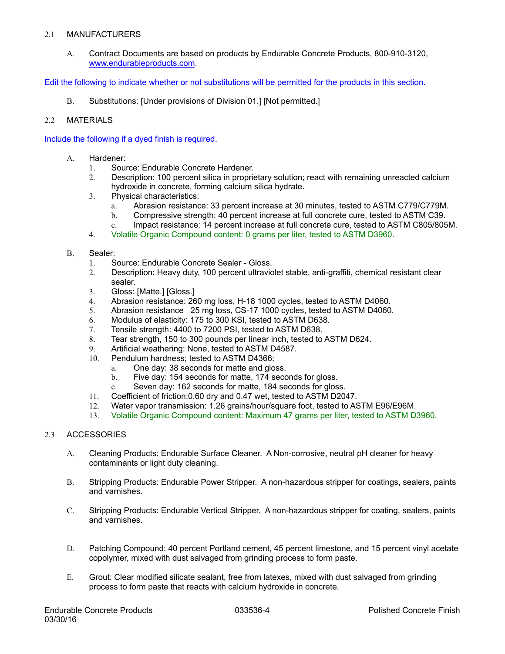### 2.1 MANUFACTURERS

A. Contract Documents are based on products by Endurable Concrete Products, 800-910-3120, [www.endurableproducts.com](http://www.endurableproducts.com).

Edit the following to indicate whether or not substitutions will be permitted for the products in this section.

B. Substitutions: [Under provisions of Division 01.] [Not permitted.]

## 2.2 MATERIALS

Include the following if a dyed finish is required.

- A. Hardener:
	- 1. Source: Endurable Concrete Hardener.
	- 2. Description: 100 percent silica in proprietary solution; react with remaining unreacted calcium hydroxide in concrete, forming calcium silica hydrate.
	- 3. Physical characteristics:
		- a. Abrasion resistance: 33 percent increase at 30 minutes, tested to ASTM C779/C779M.
		- b. Compressive strength: 40 percent increase at full concrete cure, tested to ASTM C39.
		- c. Impact resistance: 14 percent increase at full concrete cure, tested to ASTM C805/805M.
	- 4. Volatile Organic Compound content: 0 grams per liter, tested to ASTM D3960.

### B. Sealer:

- 1. Source: Endurable Concrete Sealer Gloss.
- 2. Description: Heavy duty, 100 percent ultraviolet stable, anti-graffiti, chemical resistant clear sealer.
- 3. Gloss: [Matte.] [Gloss.]
- 4. Abrasion resistance: 260 mg loss, H-18 1000 cycles, tested to ASTM D4060.
- 5. Abrasion resistance 25 mg loss, CS-17 1000 cycles, tested to ASTM D4060.
- 6. Modulus of elasticity: 175 to 300 KSI, tested to ASTM D638.
- 7. Tensile strength: 4400 to 7200 PSI, tested to ASTM D638.
- 8. Tear strength, 150 to 300 pounds per linear inch, tested to ASTM D624.
- 9. Artificial weathering: None, tested to ASTM D4587.
- 10. Pendulum hardness; tested to ASTM D4366:
	- a. One day: 38 seconds for matte and gloss.
	- b. Five day: 154 seconds for matte, 174 seconds for gloss.
	- c. Seven day: 162 seconds for matte, 184 seconds for gloss.
- 11. Coefficient of friction:0.60 dry and 0.47 wet, tested to ASTM D2047.
- 12. Water vapor transmission: 1.26 grains/hour/square foot, tested to ASTM E96/E96M.
- 13. Volatile Organic Compound content: Maximum 47 grams per liter, tested to ASTM D3960.

### 2.3 ACCESSORIES

- A. Cleaning Products: Endurable Surface Cleaner. A Non-corrosive, neutral pH cleaner for heavy contaminants or light duty cleaning.
- B. Stripping Products: Endurable Power Stripper. A non-hazardous stripper for coatings, sealers, paints and varnishes.
- C. Stripping Products: Endurable Vertical Stripper. A non-hazardous stripper for coating, sealers, paints and varnishes.
- D. Patching Compound: 40 percent Portland cement, 45 percent limestone, and 15 percent vinyl acetate copolymer, mixed with dust salvaged from grinding process to form paste.
- E. Grout: Clear modified silicate sealant, free from latexes, mixed with dust salvaged from grinding process to form paste that reacts with calcium hydroxide in concrete.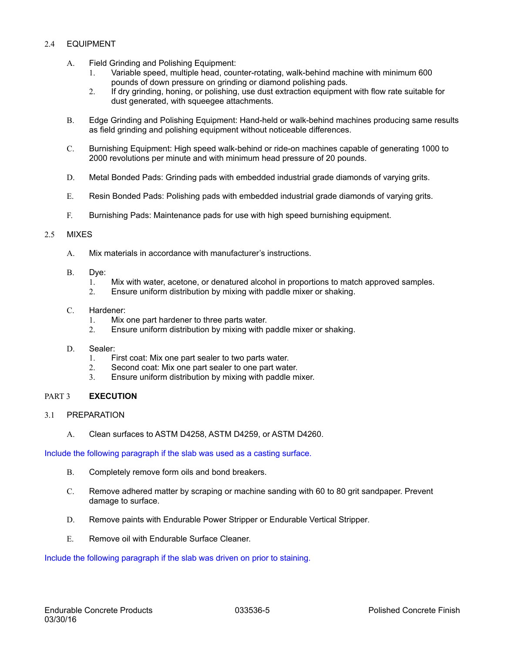## 2.4 EQUIPMENT

- A. Field Grinding and Polishing Equipment:
	- 1. Variable speed, multiple head, counter-rotating, walk-behind machine with minimum 600 pounds of down pressure on grinding or diamond polishing pads.
	- 2. If dry grinding, honing, or polishing, use dust extraction equipment with flow rate suitable for dust generated, with squeegee attachments.
- B. Edge Grinding and Polishing Equipment: Hand-held or walk-behind machines producing same results as field grinding and polishing equipment without noticeable differences.
- C. Burnishing Equipment: High speed walk-behind or ride-on machines capable of generating 1000 to 2000 revolutions per minute and with minimum head pressure of 20 pounds.
- D. Metal Bonded Pads: Grinding pads with embedded industrial grade diamonds of varying grits.
- E. Resin Bonded Pads: Polishing pads with embedded industrial grade diamonds of varying grits.
- F. Burnishing Pads: Maintenance pads for use with high speed burnishing equipment.

### 2.5 MIXES

- A. Mix materials in accordance with manufacturer's instructions.
- B. Dye:
	- 1. Mix with water, acetone, or denatured alcohol in proportions to match approved samples.
	- 2. Ensure uniform distribution by mixing with paddle mixer or shaking.

### C. Hardener:

- 1. Mix one part hardener to three parts water.
- 2. Ensure uniform distribution by mixing with paddle mixer or shaking.

### D. Sealer:

- 1. First coat: Mix one part sealer to two parts water.
- 2. Second coat: Mix one part sealer to one part water.
- 3. Ensure uniform distribution by mixing with paddle mixer.

## PART 3 **EXECUTION**

- 3.1 PREPARATION
	- A. Clean surfaces to ASTM D4258, ASTM D4259, or ASTM D4260.

Include the following paragraph if the slab was used as a casting surface.

- B. Completely remove form oils and bond breakers.
- C. Remove adhered matter by scraping or machine sanding with 60 to 80 grit sandpaper. Prevent damage to surface.
- D. Remove paints with Endurable Power Stripper or Endurable Vertical Stripper.
- E. Remove oil with Endurable Surface Cleaner.

Include the following paragraph if the slab was driven on prior to staining.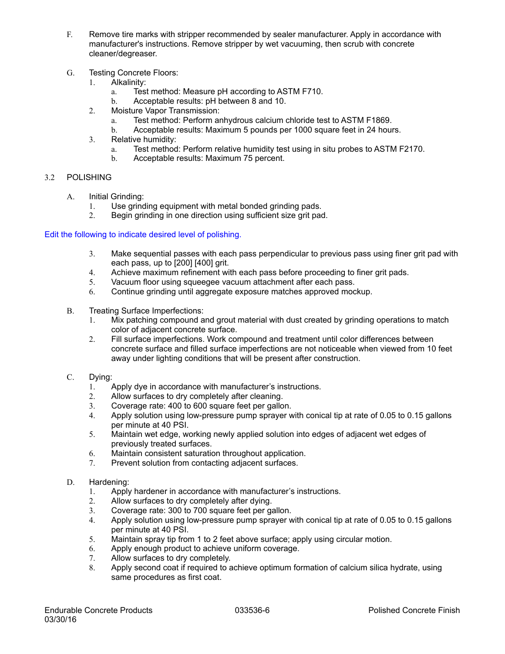- F. Remove tire marks with stripper recommended by sealer manufacturer. Apply in accordance with manufacturer's instructions. Remove stripper by wet vacuuming, then scrub with concrete cleaner/degreaser.
- G. Testing Concrete Floors:
	- 1. Alkalinity:
		- a. Test method: Measure pH according to ASTM F710.
		- b. Acceptable results: pH between 8 and 10.
	- 2. Moisture Vapor Transmission:
		- a. Test method: Perform anhydrous calcium chloride test to ASTM F1869.
		- b. Acceptable results: Maximum 5 pounds per 1000 square feet in 24 hours.
	- 3. Relative humidity:
		- a. Test method: Perform relative humidity test using in situ probes to ASTM F2170.
		- b. Acceptable results: Maximum 75 percent.

# 3.2 POLISHING

- A. Initial Grinding:
	- 1. Use grinding equipment with metal bonded grinding pads.
	- 2. Begin grinding in one direction using sufficient size grit pad.

# Edit the following to indicate desired level of polishing.

- 3. Make sequential passes with each pass perpendicular to previous pass using finer grit pad with each pass, up to [200] [400] grit.
- 4. Achieve maximum refinement with each pass before proceeding to finer grit pads.
- 5. Vacuum floor using squeegee vacuum attachment after each pass.
- 6. Continue grinding until aggregate exposure matches approved mockup.
- B. Treating Surface Imperfections:
	- 1. Mix patching compound and grout material with dust created by grinding operations to match color of adjacent concrete surface.
	- 2. Fill surface imperfections. Work compound and treatment until color differences between concrete surface and filled surface imperfections are not noticeable when viewed from 10 feet away under lighting conditions that will be present after construction.
- C. Dying:
	- 1. Apply dye in accordance with manufacturer's instructions.
	- 2. Allow surfaces to dry completely after cleaning.
	- 3. Coverage rate: 400 to 600 square feet per gallon.
	- 4. Apply solution using low-pressure pump sprayer with conical tip at rate of 0.05 to 0.15 gallons per minute at 40 PSI.
	- 5. Maintain wet edge, working newly applied solution into edges of adjacent wet edges of previously treated surfaces.
	- 6. Maintain consistent saturation throughout application.
	- 7. Prevent solution from contacting adjacent surfaces.
- D. Hardening:
	- 1. Apply hardener in accordance with manufacturer's instructions.
	- 2. Allow surfaces to dry completely after dying.
	- 3. Coverage rate: 300 to 700 square feet per gallon.
	- 4. Apply solution using low-pressure pump sprayer with conical tip at rate of 0.05 to 0.15 gallons per minute at 40 PSI.
	- 5. Maintain spray tip from 1 to 2 feet above surface; apply using circular motion.
	- 6. Apply enough product to achieve uniform coverage.
	- 7. Allow surfaces to dry completely.
	- 8. Apply second coat if required to achieve optimum formation of calcium silica hydrate, using same procedures as first coat.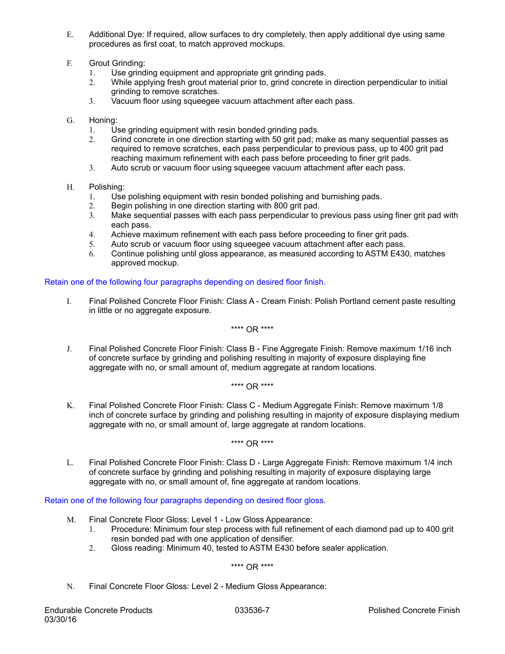- E. Additional Dye: If required, allow surfaces to dry completely, then apply additional dye using same procedures as first coat, to match approved mockups.
- F. Grout Grinding:
	- 1. Use grinding equipment and appropriate grit grinding pads.<br>2. While applying fresh grout material prior to, grind concrete in
	- While applying fresh grout material prior to, grind concrete in direction perpendicular to initial grinding to remove scratches.
	- 3. Vacuum floor using squeegee vacuum attachment after each pass.
- G. Honing:
	- 1. Use grinding equipment with resin bonded grinding pads.
	- 2. Grind concrete in one direction starting with 50 grit pad; make as many sequential passes as required to remove scratches, each pass perpendicular to previous pass, up to 400 grit pad reaching maximum refinement with each pass before proceeding to finer grit pads.
	- 3. Auto scrub or vacuum floor using squeegee vacuum attachment after each pass.
- H. Polishing:
	- 1. Use polishing equipment with resin bonded polishing and burnishing pads.
	- 2. Begin polishing in one direction starting with 800 grit pad.
	- 3. Make sequential passes with each pass perpendicular to previous pass using finer grit pad with each pass.
	- 4. Achieve maximum refinement with each pass before proceeding to finer grit pads.
	- 5. Auto scrub or vacuum floor using squeegee vacuum attachment after each pass.
	- 6. Continue polishing until gloss appearance, as measured according to ASTM E430, matches approved mockup.

# Retain one of the following four paragraphs depending on desired floor finish.

I. Final Polished Concrete Floor Finish: Class A - Cream Finish: Polish Portland cement paste resulting in little or no aggregate exposure.

\*\*\*\* OR \*\*\*\*

J. Final Polished Concrete Floor Finish: Class B - Fine Aggregate Finish: Remove maximum 1/16 inch of concrete surface by grinding and polishing resulting in majority of exposure displaying fine aggregate with no, or small amount of, medium aggregate at random locations.

\*\*\*\* OR \*\*\*\*

K. Final Polished Concrete Floor Finish: Class C - Medium Aggregate Finish: Remove maximum 1/8 inch of concrete surface by grinding and polishing resulting in majority of exposure displaying medium aggregate with no, or small amount of, large aggregate at random locations.

\*\*\*\* OR \*\*\*\*

L. Final Polished Concrete Floor Finish: Class D - Large Aggregate Finish: Remove maximum 1/4 inch of concrete surface by grinding and polishing resulting in majority of exposure displaying large aggregate with no, or small amount of, fine aggregate at random locations.

Retain one of the following four paragraphs depending on desired floor gloss.

- M. Final Concrete Floor Gloss: Level 1 Low Gloss Appearance:
	- 1. Procedure: Minimum four step process with full refinement of each diamond pad up to 400 grit resin bonded pad with one application of densifier.
	- 2. Gloss reading: Minimum 40, tested to ASTM E430 before sealer application.

\*\*\*\* OR \*\*\*\*

N. Final Concrete Floor Gloss: Level 2 - Medium Gloss Appearance: